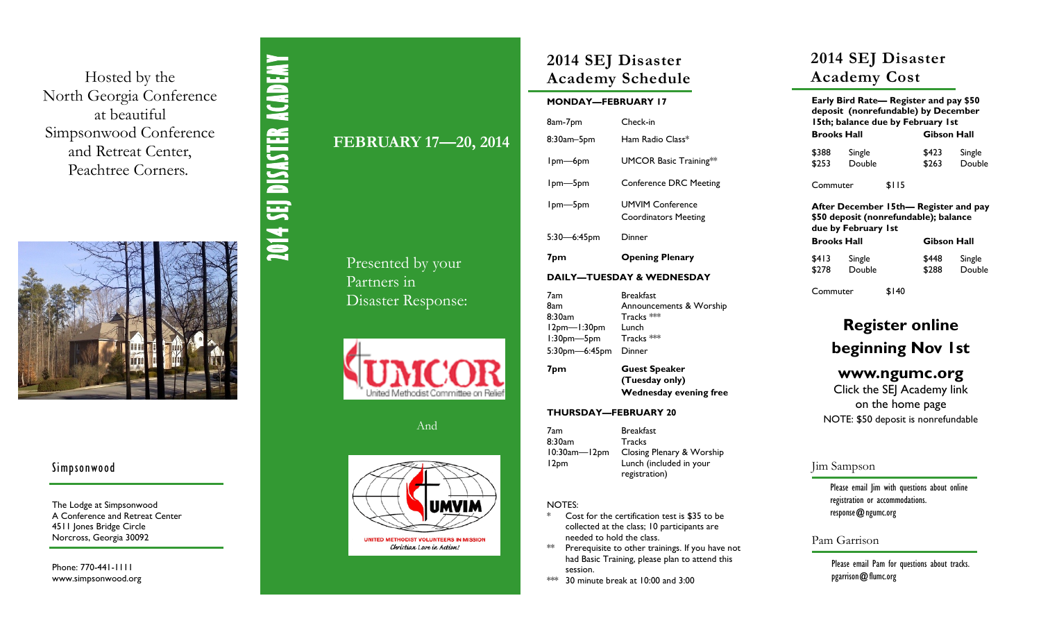Hosted by the North Georgia Conference at beautiful Simpsonwood Conference and Retreat Center, Peachtree Corners. .



### Simpsonwood

The Lodge at Simpsonwood A Conference and Retreat Center 4511 Jones Bridge Circle Norcross, Georgia 30092

Phone: 770-441-1111 www.simpsonwood.org

# **FEBRUARY 17 —20, 2014**

**2014 SEJ DISASTER ACADEMY** 

2014 SEJ DISASTER ACADEMY

Presented by your Partners in Disaster Response:



And



Christian Love in Action!

# **2014 SEJ Disaster Academy Schedule**

### **MONDAY—FEBRUARY 17**

| 8am-7pm                              | Check-in                                                      |  |  |  |
|--------------------------------------|---------------------------------------------------------------|--|--|--|
| 8:30am–5pm                           | Ham Radio Class*                                              |  |  |  |
| Ipm—6pm                              | <b>UMCOR Basic Training**</b>                                 |  |  |  |
| Ipm-5pm                              | <b>Conference DRC Meeting</b>                                 |  |  |  |
| Ipm-5pm                              | <b>UMVIM Conference</b><br><b>Coordinators Meeting</b>        |  |  |  |
| $5:30 - 6:45$ pm                     | Dinner                                                        |  |  |  |
| 7pm                                  | <b>Opening Plenary</b>                                        |  |  |  |
| <b>DAILY-TUESDAY &amp; WEDNESDAY</b> |                                                               |  |  |  |
| 7am<br>8am<br>ດ.າດ                   | <b>Breakfast</b><br>Announcements & Worship<br>Turnal a Seksk |  |  |  |

8:30am Tracks 12pm —1:30pm Lunch 1:30pm Tracks \*\*\* 5:30pm —6:45pm Dinner

**7pm Guest Speaker (Tuesday only) Wednesday evening free**

#### **THURSDAY—FEBRUARY 20**

7am Breakfast 8:30am Tracks 10:30am Closing Plenary & Worship 12pm Lunch (included in your registration)

### NOTES:

- \* Cost for the certification test is \$35 to be collected at the class; 10 participants are needed to hold the class.
- \*\* Prerequisite to other trainings. If you have not had Basic Training, please plan to attend this session.
- \*\*\* 30 minute break at 10:00 and 3:00

# **2014 SEJ Disaster Academy Cost**

| Early Bird Rate— Register and pay \$50<br>deposit (nonrefundable) by December<br>15th; balance due by February 1st |                  |             |                |                  |  |
|--------------------------------------------------------------------------------------------------------------------|------------------|-------------|----------------|------------------|--|
| Brooks Hall                                                                                                        |                  | Gibson Hall |                |                  |  |
| \$388<br>\$253                                                                                                     | Single<br>Double |             | \$423<br>\$263 | Single<br>Double |  |
| \$115<br>Commuter                                                                                                  |                  |             |                |                  |  |
| After December 15th— Register and pay<br>\$50 deposit (nonrefundable); balance<br>due by February Ist              |                  |             |                |                  |  |
| Brooks Hall                                                                                                        |                  |             | Gibson Hall    |                  |  |
| \$413<br>\$278                                                                                                     | Single<br>Double |             | \$448<br>\$288 | Single<br>Double |  |

Commuter \$140

# **Register online beginning Nov 1st**

## **www.ngumc.org**

Click the SEJ Academy link on the home page NOTE: \$50 deposit is nonrefundable

### Jim Sampson

Please email Jim with questions about online registration or accommodations. response@ngumc.org

## Pam Garrison

Please email Pam for questions about tracks. pgarrison@flumc.org